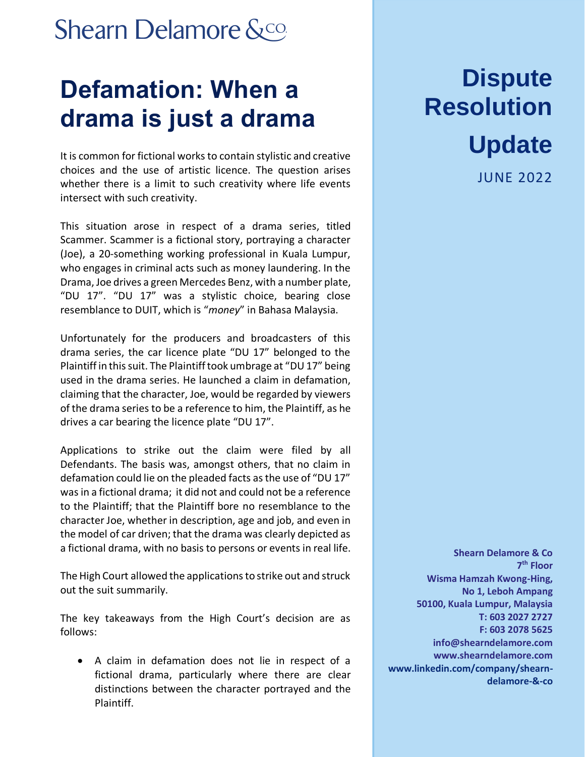### **Shearn Delamore &co.**

## **Defamation: When a drama is just a drama**

It is common for fictional works to contain stylistic and creative choices and the use of artistic licence. The question arises whether there is a limit to such creativity where life events intersect with such creativity.

This situation arose in respect of a drama series, titled Scammer. Scammer is a fictional story, portraying a character (Joe), a 20-something working professional in Kuala Lumpur, who engages in criminal acts such as money laundering. In the Drama, Joe drives a green Mercedes Benz, with a number plate, "DU 17". "DU 17" was a stylistic choice, bearing close resemblance to DUIT, which is "*money*" in Bahasa Malaysia.

Unfortunately for the producers and broadcasters of this drama series, the car licence plate "DU 17" belonged to the Plaintiff in this suit. The Plaintiff took umbrage at "DU 17" being used in the drama series. He launched a claim in defamation, claiming that the character, Joe, would be regarded by viewers of the drama series to be a reference to him, the Plaintiff, as he drives a car bearing the licence plate "DU 17".

Applications to strike out the claim were filed by all Defendants. The basis was, amongst others, that no claim in defamation could lie on the pleaded facts as the use of "DU 17" was in a fictional drama; it did not and could not be a reference to the Plaintiff; that the Plaintiff bore no resemblance to the character Joe, whether in description, age and job, and even in the model of car driven; that the drama was clearly depicted as a fictional drama, with no basis to persons or events in real life.

The High Court allowed the applications to strike out and struck out the suit summarily.

The key takeaways from the High Court's decision are as follows:

• A claim in defamation does not lie in respect of a fictional drama, particularly where there are clear distinctions between the character portrayed and the Plaintiff.

# **Dispute Resolution**

#### **Update**

JUNE 2022

**Shearn Delamore & Co 7 th Floor Wisma Hamzah Kwong-Hing, No 1, Leboh Ampang 50100, Kuala Lumpur, Malaysia T: 603 2027 2727 F: 603 2078 5625 [info@shearndelamore.com](mailto:info@shearndelamore.com) [www.shearndelamore.com](http://www.shearndelamore.com/) www.linkedin.com/company/shearndelamore-&-co**